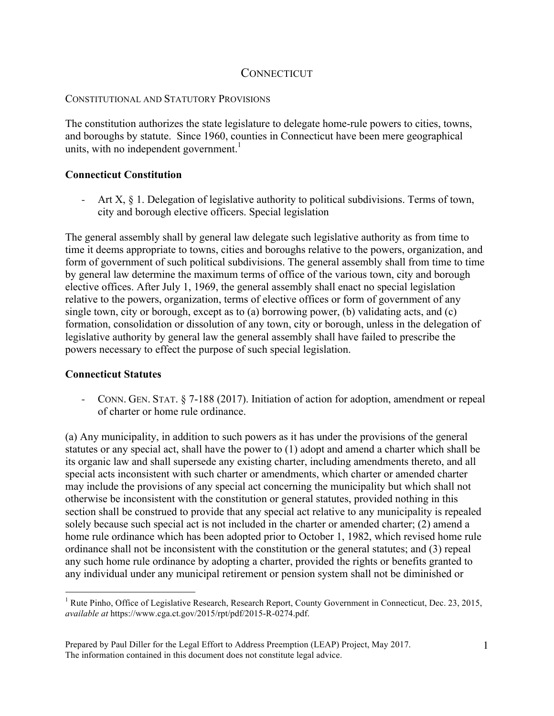# **CONNECTICUT**

### CONSTITUTIONAL AND STATUTORY PROVISIONS

The constitution authorizes the state legislature to delegate home-rule powers to cities, towns, and boroughs by statute. Since 1960, counties in Connecticut have been mere geographical units, with no independent government. 1

## **Connecticut Constitution**

Art X, § 1. Delegation of legislative authority to political subdivisions. Terms of town, city and borough elective officers. Special legislation

The general assembly shall by general law delegate such legislative authority as from time to time it deems appropriate to towns, cities and boroughs relative to the powers, organization, and form of government of such political subdivisions. The general assembly shall from time to time by general law determine the maximum terms of office of the various town, city and borough elective offices. After July 1, 1969, the general assembly shall enact no special legislation relative to the powers, organization, terms of elective offices or form of government of any single town, city or borough, except as to (a) borrowing power, (b) validating acts, and (c) formation, consolidation or dissolution of any town, city or borough, unless in the delegation of legislative authority by general law the general assembly shall have failed to prescribe the powers necessary to effect the purpose of such special legislation.

### **Connecticut Statutes**

- CONN. GEN. STAT. § 7-188 (2017). Initiation of action for adoption, amendment or repeal of charter or home rule ordinance.

(a) Any municipality, in addition to such powers as it has under the provisions of the general statutes or any special act, shall have the power to (1) adopt and amend a charter which shall be its organic law and shall supersede any existing charter, including amendments thereto, and all special acts inconsistent with such charter or amendments, which charter or amended charter may include the provisions of any special act concerning the municipality but which shall not otherwise be inconsistent with the constitution or general statutes, provided nothing in this section shall be construed to provide that any special act relative to any municipality is repealed solely because such special act is not included in the charter or amended charter; (2) amend a home rule ordinance which has been adopted prior to October 1, 1982, which revised home rule ordinance shall not be inconsistent with the constitution or the general statutes; and (3) repeal any such home rule ordinance by adopting a charter, provided the rights or benefits granted to any individual under any municipal retirement or pension system shall not be diminished or

 $\frac{1}{1}$ <sup>1</sup> Rute Pinho, Office of Legislative Research, Research Report, County Government in Connecticut, Dec. 23, 2015, *available at* https://www.cga.ct.gov/2015/rpt/pdf/2015-R-0274.pdf.

Prepared by Paul Diller for the Legal Effort to Address Preemption (LEAP) Project, May 2017. The information contained in this document does not constitute legal advice.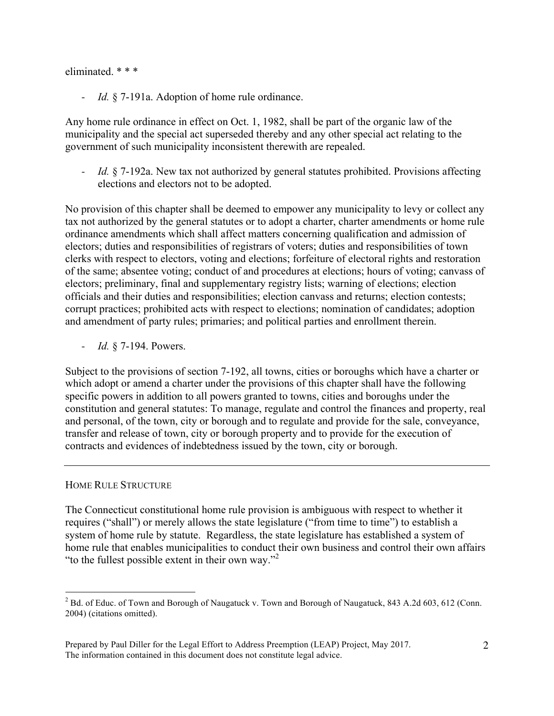### eliminated \* \* \*

- *Id.* § 7-191a. Adoption of home rule ordinance.

Any home rule ordinance in effect on Oct. 1, 1982, shall be part of the organic law of the municipality and the special act superseded thereby and any other special act relating to the government of such municipality inconsistent therewith are repealed.

*Id.* § 7-192a. New tax not authorized by general statutes prohibited. Provisions affecting elections and electors not to be adopted.

No provision of this chapter shall be deemed to empower any municipality to levy or collect any tax not authorized by the general statutes or to adopt a charter, charter amendments or home rule ordinance amendments which shall affect matters concerning qualification and admission of electors; duties and responsibilities of registrars of voters; duties and responsibilities of town clerks with respect to electors, voting and elections; forfeiture of electoral rights and restoration of the same; absentee voting; conduct of and procedures at elections; hours of voting; canvass of electors; preliminary, final and supplementary registry lists; warning of elections; election officials and their duties and responsibilities; election canvass and returns; election contests; corrupt practices; prohibited acts with respect to elections; nomination of candidates; adoption and amendment of party rules; primaries; and political parties and enrollment therein.

- *Id.* § 7-194. Powers.

Subject to the provisions of section 7-192, all towns, cities or boroughs which have a charter or which adopt or amend a charter under the provisions of this chapter shall have the following specific powers in addition to all powers granted to towns, cities and boroughs under the constitution and general statutes: To manage, regulate and control the finances and property, real and personal, of the town, city or borough and to regulate and provide for the sale, conveyance, transfer and release of town, city or borough property and to provide for the execution of contracts and evidences of indebtedness issued by the town, city or borough.

### HOME RULE STRUCTURE

The Connecticut constitutional home rule provision is ambiguous with respect to whether it requires ("shall") or merely allows the state legislature ("from time to time") to establish a system of home rule by statute. Regardless, the state legislature has established a system of home rule that enables municipalities to conduct their own business and control their own affairs "to the fullest possible extent in their own way."<sup>2</sup>

 $\frac{1}{2}$ <sup>2</sup> Bd. of Educ. of Town and Borough of Naugatuck v. Town and Borough of Naugatuck, 843 A.2d 603, 612 (Conn. 2004) (citations omitted).

Prepared by Paul Diller for the Legal Effort to Address Preemption (LEAP) Project, May 2017. The information contained in this document does not constitute legal advice.